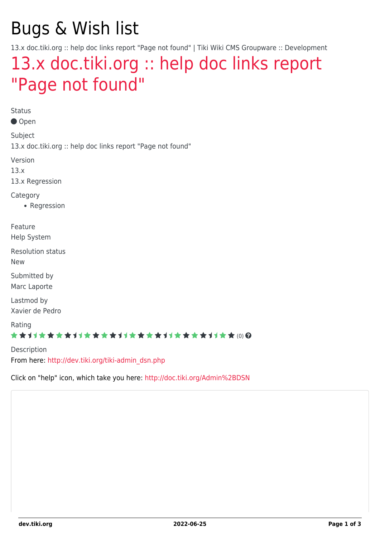## Bugs & Wish list

13.x doc.tiki.org :: help doc links report "Page not found" | Tiki Wiki CMS Groupware :: Development

## [13.x doc.tiki.org :: help doc links report](https://dev.tiki.org/item5367-13-x-doc-tiki-org-help-doc-links-report-Page-not-found) ["Page not found"](https://dev.tiki.org/item5367-13-x-doc-tiki-org-help-doc-links-report-Page-not-found)

Status ● Open Subject 13.x doc.tiki.org :: help doc links report "Page not found" Version 13.x 13.x Regression **Category** • Regression Feature Help System Resolution status New Submitted by Marc Laporte Lastmod by Xavier de Pedro Rating ★★オオ★★★★オオ★★★★オオ★★★★オオ★★★★オオ★★(0) @

Description From here: [http://dev.tiki.org/tiki-admin\\_dsn.php](http://dev.tiki.org/tiki-admin_dsn.php)

Click on "help" icon, which take you here: <http://doc.tiki.org/Admin%2BDSN>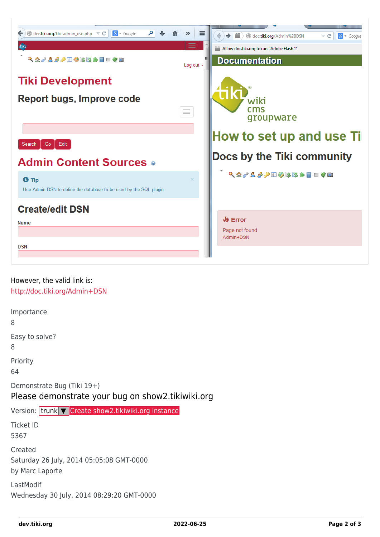

| Importance<br>8                                                                 |
|---------------------------------------------------------------------------------|
| Easy to solve?<br>8                                                             |
| Priority<br>64                                                                  |
| Demonstrate Bug (Tiki 19+)<br>Please demonstrate your bug on show2.tikiwiki.org |
| Version: trunk <b>V</b> Create show2.tikiwiki.org instance                      |
| <b>Ticket ID</b><br>5367                                                        |
| Created<br>Saturday 26 July, 2014 05:05:08 GMT-0000<br>by Marc Laporte          |
| LastModif<br>Wednesday 30 July, 2014 08:29:20 GMT-0000                          |
|                                                                                 |